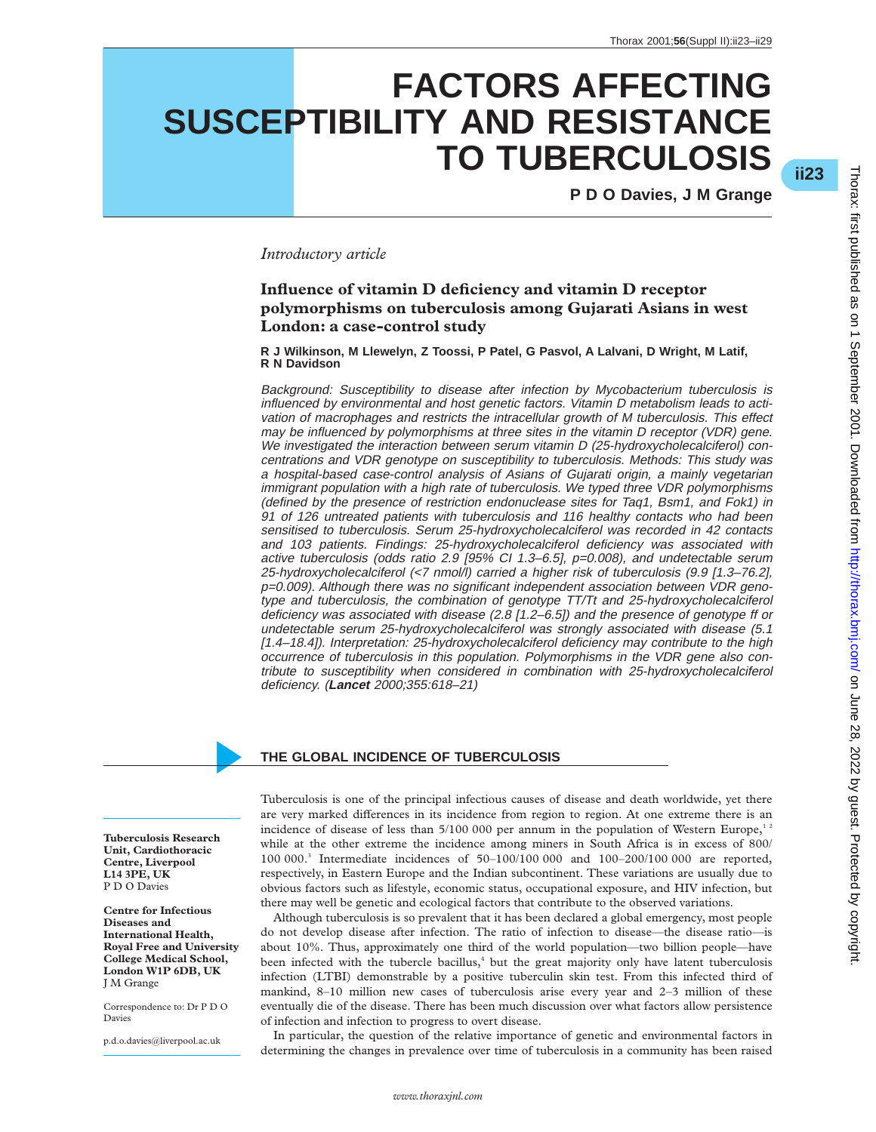# **FACTORS AFFECTING SUSCEPTIBILITY AND RESISTANCE TO TUBERCULOSIS**

**P D O Davies, J M Grange**

# *Introductory article*

# **Influence of vitamin D deficiency and vitamin D receptor polymorphisms on tuberculosis among Gujarati Asians in west London: a case-control study**

**R J Wilkinson, M Llewelyn, Z Toossi, P Patel, G Pasvol, A Lalvani, D Wright, M Latif, R N Davidson**

Background: Susceptibility to disease after infection by Mycobacterium tuberculosis is influenced by environmental and host genetic factors. Vitamin D metabolism leads to activation of macrophages and restricts the intracellular growth of M tuberculosis. This effect may be influenced by polymorphisms at three sites in the vitamin D receptor (VDR) gene. We investigated the interaction between serum vitamin D (25-hydroxycholecalciferol) concentrations and VDR genotype on susceptibility to tuberculosis. Methods: This study was <sup>a</sup> hospital-based case-control analysis of Asians of Gujarati origin, <sup>a</sup> mainly vegetarian immigrant population with <sup>a</sup> high rate of tuberculosis. We typed three VDR polymorphisms (defined by the presence of restriction endonuclease sites for Taq1, Bsm1, and Fok1) in 91 of 126 untreated patients with tuberculosis and 116 healthy contacts who had been sensitised to tuberculosis. Serum 25-hydroxycholecalciferol was recorded in 42 contacts and 103 patients. Findings: 25-hydroxycholecalciferol deficiency was associated with active tuberculosis (odds ratio 2.9 [95% CI 1.3–6.5], p=0.008), and undetectable serum 25-hydroxycholecalciferol (<7 nmol/l) carried <sup>a</sup> higher risk of tuberculosis (9.9 [1.3–76.2], p=0.009). Although there was no significant independent association between VDR genotype and tuberculosis, the combination of genotype TT/Tt and 25-hydroxycholecalciferol deficiency was associated with disease (2.8 [1.2–6.5]) and the presence of genotype ff or undetectable serum 25-hydroxycholecalciferol was strongly associated with disease (5.1 [1.4–18.4]). Interpretation: 25-hydroxycholecalciferol deficiency may contribute to the high occurrence of tuberculosis in this population. Polymorphisms in the VDR gene also contribute to susceptibility when considered in combination with 25-hydroxycholecalciferol deficiency. (**Lancet** 2000;355:618–21)

#### **THE GLOBAL INCIDENCE OF TUBERCULOSIS**

**Tuberculosis Research Unit, Cardiothoracic Centre, Liverpool L14 3PE, UK** P D O Davies

**Centre for Infectious Diseases and International Health, Royal Free and University College Medical School, London W1P 6DB, UK** J M Grange

Correspondence to: Dr P D O Davies

p.d.o.davies@liverpool.ac.uk

Tuberculosis is one of the principal infectious causes of disease and death worldwide, yet there are very marked differences in its incidence from region to region. At one extreme there is an incidence of disease of less than  $5/100000$  per annum in the population of Western Europe,<sup>12</sup> while at the other extreme the incidence among miners in South Africa is in excess of 800/ 100 000.3 Intermediate incidences of 50–100/100 000 and 100–200/100 000 are reported, respectively, in Eastern Europe and the Indian subcontinent. These variations are usually due to obvious factors such as lifestyle, economic status, occupational exposure, and HIV infection, but there may well be genetic and ecological factors that contribute to the observed variations.

Although tuberculosis is so prevalent that it has been declared a global emergency, most people do not develop disease after infection. The ratio of infection to disease—the disease ratio—is about 10%. Thus, approximately one third of the world population—two billion people—have been infected with the tubercle bacillus, $<sup>4</sup>$  but the great majority only have latent tuberculosis</sup> infection (LTBI) demonstrable by a positive tuberculin skin test. From this infected third of mankind, 8–10 million new cases of tuberculosis arise every year and 2–3 million of these eventually die of the disease. There has been much discussion over what factors allow persistence of infection and infection to progress to overt disease.

In particular, the question of the relative importance of genetic and environmental factors in determining the changes in prevalence over time of tuberculosis in a community has been raised

\***ii23**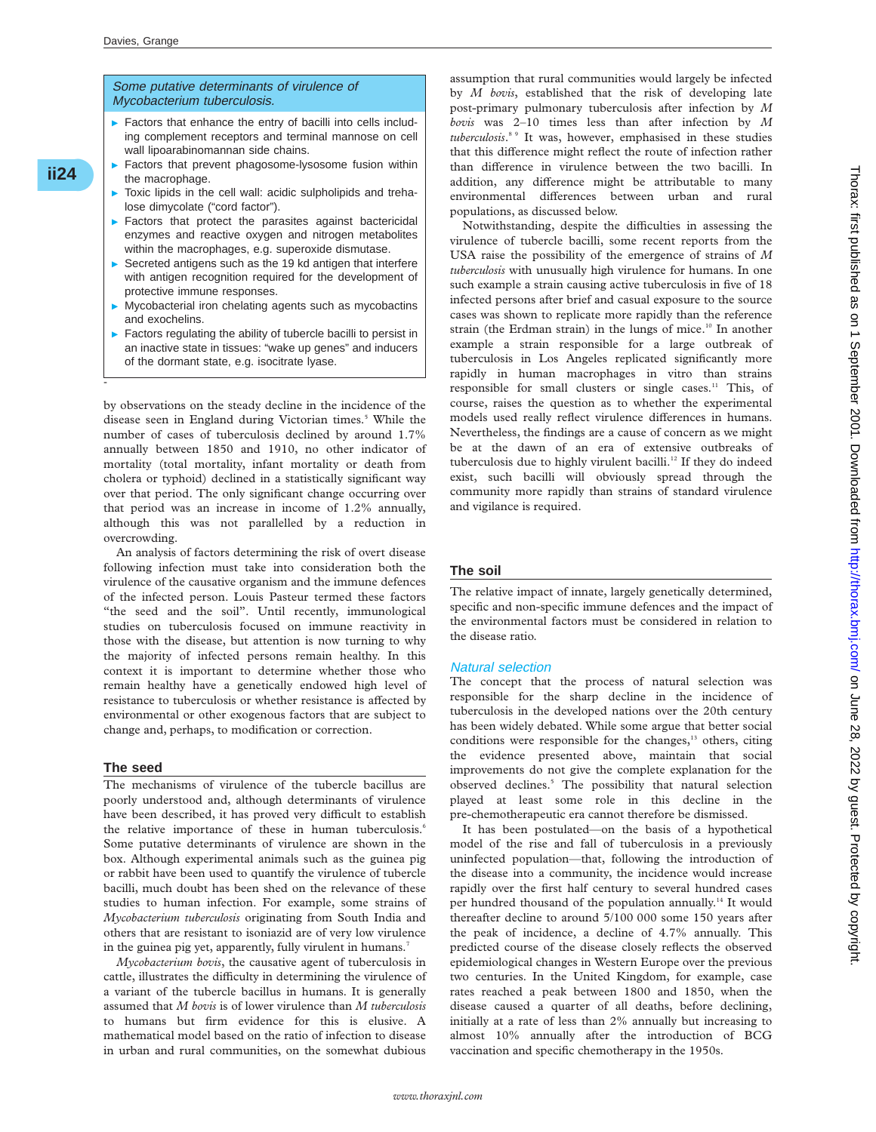#### Some putative determinants of virulence of Mycobacterium tuberculosis.

- $\blacktriangleright$  Factors that enhance the entry of bacilli into cells including complement receptors and terminal mannose on cell wall lipoarabinomannan side chains.
- Factors that prevent phagosome-lysosome fusion within the macrophage.
- $\triangleright$  Toxic lipids in the cell wall: acidic sulpholipids and trehalose dimycolate ("cord factor").
- $\blacktriangleright$  Factors that protect the parasites against bactericidal enzymes and reactive oxygen and nitrogen metabolites within the macrophages, e.g. superoxide dismutase.
- Secreted antigens such as the 19 kd antigen that interfere with antigen recognition required for the development of protective immune responses.
- $\triangleright$  Mycobacterial iron chelating agents such as mycobactins and exochelins.
- $\blacktriangleright$  Factors regulating the ability of tubercle bacilli to persist in an inactive state in tissues: "wake up genes" and inducers of the dormant state, e.g. isocitrate lyase.

by observations on the steady decline in the incidence of the disease seen in England during Victorian times.<sup>5</sup> While the number of cases of tuberculosis declined by around 1.7% annually between 1850 and 1910, no other indicator of mortality (total mortality, infant mortality or death from cholera or typhoid) declined in a statistically significant way over that period. The only significant change occurring over that period was an increase in income of 1.2% annually, although this was not parallelled by a reduction in overcrowding.

An analysis of factors determining the risk of overt disease following infection must take into consideration both the virulence of the causative organism and the immune defences of the infected person. Louis Pasteur termed these factors "the seed and the soil". Until recently, immunological studies on tuberculosis focused on immune reactivity in those with the disease, but attention is now turning to why the majority of infected persons remain healthy. In this context it is important to determine whether those who remain healthy have a genetically endowed high level of resistance to tuberculosis or whether resistance is affected by environmental or other exogenous factors that are subject to change and, perhaps, to modification or correction.

#### **The seed**

-

**ii24**\*

The mechanisms of virulence of the tubercle bacillus are poorly understood and, although determinants of virulence have been described, it has proved very difficult to establish the relative importance of these in human tuberculosis.<sup>6</sup> Some putative determinants of virulence are shown in the box. Although experimental animals such as the guinea pig or rabbit have been used to quantify the virulence of tubercle bacilli, much doubt has been shed on the relevance of these studies to human infection. For example, some strains of *Mycobacterium tuberculosis* originating from South India and others that are resistant to isoniazid are of very low virulence in the guinea pig yet, apparently, fully virulent in humans.<sup>7</sup>

*Mycobacterium bovis*, the causative agent of tuberculosis in cattle, illustrates the difficulty in determining the virulence of a variant of the tubercle bacillus in humans. It is generally assumed that *M bovis* is of lower virulence than *M tuberculosis* to humans but firm evidence for this is elusive. A mathematical model based on the ratio of infection to disease in urban and rural communities, on the somewhat dubious

assumption that rural communities would largely be infected by *M bovis*, established that the risk of developing late post-primary pulmonary tuberculosis after infection by *M bovis* was 2–10 times less than after infection by *M tuberculosis*. 8 9 It was, however, emphasised in these studies that this difference might reflect the route of infection rather than difference in virulence between the two bacilli. In addition, any difference might be attributable to many environmental differences between urban and rural populations, as discussed below.

Notwithstanding, despite the difficulties in assessing the virulence of tubercle bacilli, some recent reports from the USA raise the possibility of the emergence of strains of *M tuberculosis* with unusually high virulence for humans. In one such example a strain causing active tuberculosis in five of 18 infected persons after brief and casual exposure to the source cases was shown to replicate more rapidly than the reference strain (the Erdman strain) in the lungs of mice.<sup>10</sup> In another example a strain responsible for a large outbreak of tuberculosis in Los Angeles replicated significantly more rapidly in human macrophages in vitro than strains responsible for small clusters or single cases.<sup>11</sup> This, of course, raises the question as to whether the experimental models used really reflect virulence differences in humans. Nevertheless, the findings are a cause of concern as we might be at the dawn of an era of extensive outbreaks of tuberculosis due to highly virulent bacilli.<sup>12</sup> If they do indeed exist, such bacilli will obviously spread through the community more rapidly than strains of standard virulence and vigilance is required.

#### **The soil**

The relative impact of innate, largely genetically determined, specific and non-specific immune defences and the impact of the environmental factors must be considered in relation to the disease ratio.

#### Natural selection

The concept that the process of natural selection was responsible for the sharp decline in the incidence of tuberculosis in the developed nations over the 20th century has been widely debated. While some argue that better social conditions were responsible for the changes,<sup>13</sup> others, citing the evidence presented above, maintain that social improvements do not give the complete explanation for the observed declines.<sup>5</sup> The possibility that natural selection played at least some role in this decline in the pre-chemotherapeutic era cannot therefore be dismissed.

It has been postulated—on the basis of a hypothetical model of the rise and fall of tuberculosis in a previously uninfected population—that, following the introduction of the disease into a community, the incidence would increase rapidly over the first half century to several hundred cases per hundred thousand of the population annually.<sup>14</sup> It would thereafter decline to around 5/100 000 some 150 years after the peak of incidence, a decline of 4.7% annually. This predicted course of the disease closely reflects the observed epidemiological changes in Western Europe over the previous two centuries. In the United Kingdom, for example, case rates reached a peak between 1800 and 1850, when the disease caused a quarter of all deaths, before declining, initially at a rate of less than 2% annually but increasing to almost 10% annually after the introduction of BCG vaccination and specific chemotherapy in the 1950s.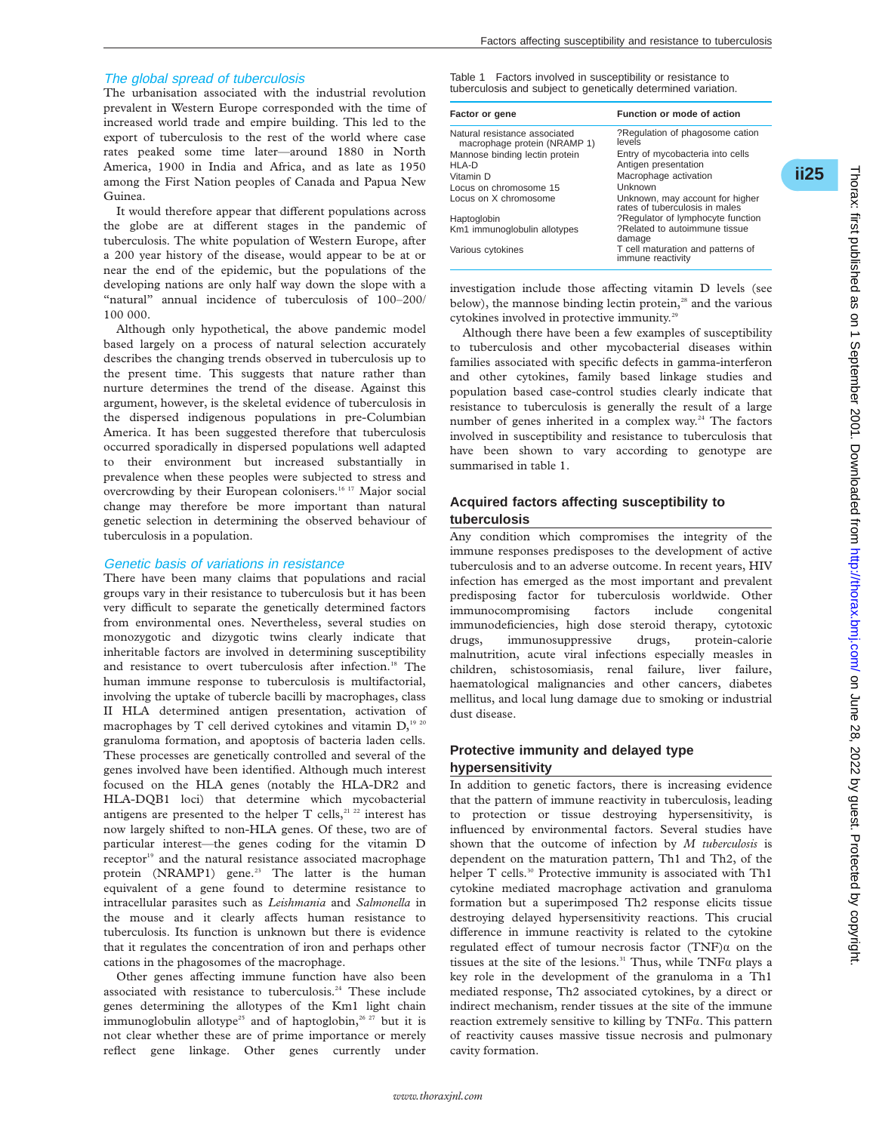#### The global spread of tuberculosis

The urbanisation associated with the industrial revolution prevalent in Western Europe corresponded with the time of increased world trade and empire building. This led to the export of tuberculosis to the rest of the world where case rates peaked some time later—around 1880 in North America, 1900 in India and Africa, and as late as 1950 among the First Nation peoples of Canada and Papua New Guinea.

It would therefore appear that different populations across the globe are at different stages in the pandemic of tuberculosis. The white population of Western Europe, after a 200 year history of the disease, would appear to be at or near the end of the epidemic, but the populations of the developing nations are only half way down the slope with a "natural" annual incidence of tuberculosis of 100–200/ 100 000.

Although only hypothetical, the above pandemic model based largely on a process of natural selection accurately describes the changing trends observed in tuberculosis up to the present time. This suggests that nature rather than nurture determines the trend of the disease. Against this argument, however, is the skeletal evidence of tuberculosis in the dispersed indigenous populations in pre-Columbian America. It has been suggested therefore that tuberculosis occurred sporadically in dispersed populations well adapted to their environment but increased substantially in prevalence when these peoples were subjected to stress and overcrowding by their European colonisers.<sup>16 17</sup> Major social change may therefore be more important than natural genetic selection in determining the observed behaviour of tuberculosis in a population.

#### Genetic basis of variations in resistance

There have been many claims that populations and racial groups vary in their resistance to tuberculosis but it has been very difficult to separate the genetically determined factors from environmental ones. Nevertheless, several studies on monozygotic and dizygotic twins clearly indicate that inheritable factors are involved in determining susceptibility and resistance to overt tuberculosis after infection.<sup>18</sup> The human immune response to tuberculosis is multifactorial, involving the uptake of tubercle bacilli by macrophages, class II HLA determined antigen presentation, activation of macrophages by T cell derived cytokines and vitamin  $D<sub>1920</sub>$ granuloma formation, and apoptosis of bacteria laden cells. These processes are genetically controlled and several of the genes involved have been identified. Although much interest focused on the HLA genes (notably the HLA-DR2 and HLA-DQB1 loci) that determine which mycobacterial antigens are presented to the helper  $T$  cells,<sup>21 22</sup> interest has now largely shifted to non-HLA genes. Of these, two are of particular interest—the genes coding for the vitamin D receptor<sup>19</sup> and the natural resistance associated macrophage protein (NRAMP1) gene.<sup>23</sup> The latter is the human equivalent of a gene found to determine resistance to intracellular parasites such as *Leishmania* and *Salmonella* in the mouse and it clearly affects human resistance to tuberculosis. Its function is unknown but there is evidence that it regulates the concentration of iron and perhaps other cations in the phagosomes of the macrophage.

Other genes affecting immune function have also been associated with resistance to tuberculosis.<sup>24</sup> These include genes determining the allotypes of the Km1 light chain immunoglobulin allotype<sup>25</sup> and of haptoglobin,<sup>26 27</sup> but it is not clear whether these are of prime importance or merely reflect gene linkage. Other genes currently under

Table 1 Factors involved in susceptibility or resistance to tuberculosis and subject to genetically determined variation.

| Factor or gene                                                | Function or mode of action                                        |
|---------------------------------------------------------------|-------------------------------------------------------------------|
| Natural resistance associated<br>macrophage protein (NRAMP 1) | ?Regulation of phagosome cation<br>levels                         |
| Mannose binding lectin protein                                | Entry of mycobacteria into cells                                  |
| HLA-D                                                         | Antigen presentation                                              |
| Vitamin D                                                     | Macrophage activation                                             |
| Locus on chromosome 15                                        | Unknown                                                           |
| Locus on X chromosome                                         | Unknown, may account for higher<br>rates of tuberculosis in males |
| Haptoglobin                                                   | ?Regulator of lymphocyte function                                 |
| Km1 immunoglobulin allotypes                                  | ?Related to autoimmune tissue<br>damage                           |
| Various cytokines                                             | T cell maturation and patterns of<br>immune reactivity            |

investigation include those affecting vitamin D levels (see below), the mannose binding lectin protein,<sup>28</sup> and the various cytokines involved in protective immunity.<sup>29</sup>

Although there have been a few examples of susceptibility to tuberculosis and other mycobacterial diseases within families associated with specific defects in gamma-interferon and other cytokines, family based linkage studies and population based case-control studies clearly indicate that resistance to tuberculosis is generally the result of a large number of genes inherited in a complex way.<sup>24</sup> The factors involved in susceptibility and resistance to tuberculosis that have been shown to vary according to genotype are summarised in table 1.

### **Acquired factors affecting susceptibility to tuberculosis**

Any condition which compromises the integrity of the immune responses predisposes to the development of active tuberculosis and to an adverse outcome. In recent years, HIV infection has emerged as the most important and prevalent predisposing factor for tuberculosis worldwide. Other immunocompromising factors include congenital immunodeficiencies, high dose steroid therapy, cytotoxic drugs, immunosuppressive drugs, protein-calorie malnutrition, acute viral infections especially measles in children, schistosomiasis, renal failure, liver failure, haematological malignancies and other cancers, diabetes mellitus, and local lung damage due to smoking or industrial dust disease.

# **Protective immunity and delayed type**

# **hypersensitivity**

In addition to genetic factors, there is increasing evidence that the pattern of immune reactivity in tuberculosis, leading to protection or tissue destroying hypersensitivity, is influenced by environmental factors. Several studies have shown that the outcome of infection by *M tuberculosis* is dependent on the maturation pattern, Th1 and Th2, of the helper T cells.<sup>30</sup> Protective immunity is associated with Th1 cytokine mediated macrophage activation and granuloma formation but a superimposed Th2 response elicits tissue destroying delayed hypersensitivity reactions. This crucial difference in immune reactivity is related to the cytokine regulated effect of tumour necrosis factor (TNF) $\alpha$  on the tissues at the site of the lesions.<sup>31</sup> Thus, while  $TNF\alpha$  plays a key role in the development of the granuloma in a Th1 mediated response, Th2 associated cytokines, by a direct or indirect mechanism, render tissues at the site of the immune reaction extremely sensitive to killing by  $TNF\alpha$ . This pattern of reactivity causes massive tissue necrosis and pulmonary cavity formation.

\***ii25**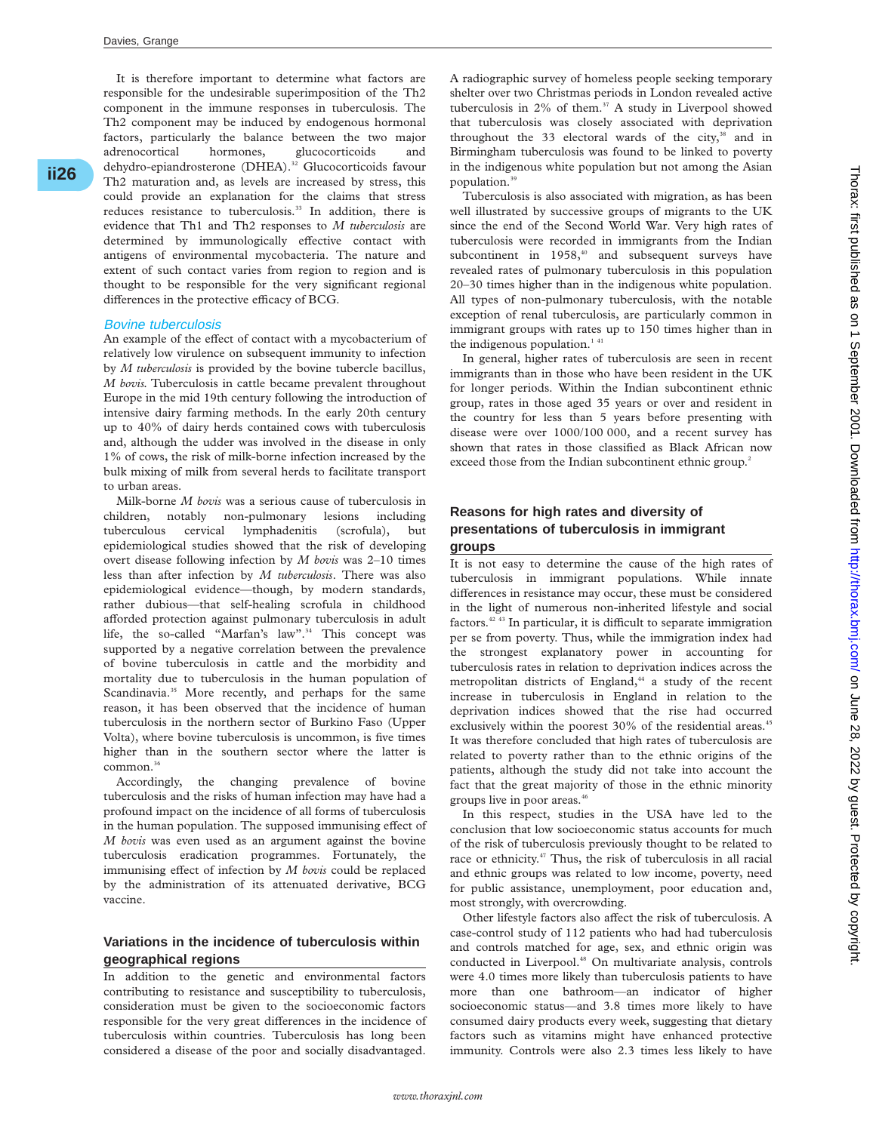**ii26**\*

It is therefore important to determine what factors are responsible for the undesirable superimposition of the Th2 component in the immune responses in tuberculosis. The Th2 component may be induced by endogenous hormonal factors, particularly the balance between the two major adrenocortical hormones, glucocorticoids and dehydro-epiandrosterone (DHEA).<sup>32</sup> Glucocorticoids favour Th2 maturation and, as levels are increased by stress, this could provide an explanation for the claims that stress reduces resistance to tuberculosis.<sup>33</sup> In addition, there is evidence that Th1 and Th2 responses to *M tuberculosis* are determined by immunologically effective contact with antigens of environmental mycobacteria. The nature and extent of such contact varies from region to region and is thought to be responsible for the very significant regional differences in the protective efficacy of BCG.

#### Bovine tuberculosis

An example of the effect of contact with a mycobacterium of relatively low virulence on subsequent immunity to infection by *M tuberculosis* is provided by the bovine tubercle bacillus, *M bovis.* Tuberculosis in cattle became prevalent throughout Europe in the mid 19th century following the introduction of intensive dairy farming methods. In the early 20th century up to 40% of dairy herds contained cows with tuberculosis and, although the udder was involved in the disease in only 1% of cows, the risk of milk-borne infection increased by the bulk mixing of milk from several herds to facilitate transport to urban areas.

Milk-borne *M bovis* was a serious cause of tuberculosis in children, notably non-pulmonary lesions including tuberculous cervical lymphadenitis (scrofula), but epidemiological studies showed that the risk of developing overt disease following infection by *M bovis* was 2–10 times less than after infection by *M tuberculosis*. There was also epidemiological evidence—though, by modern standards, rather dubious—that self-healing scrofula in childhood afforded protection against pulmonary tuberculosis in adult life, the so-called "Marfan's law".<sup>34</sup> This concept was supported by a negative correlation between the prevalence of bovine tuberculosis in cattle and the morbidity and mortality due to tuberculosis in the human population of Scandinavia.<sup>35</sup> More recently, and perhaps for the same reason, it has been observed that the incidence of human tuberculosis in the northern sector of Burkino Faso (Upper Volta), where bovine tuberculosis is uncommon, is five times higher than in the southern sector where the latter is common.<sup>36</sup>

Accordingly, the changing prevalence of bovine tuberculosis and the risks of human infection may have had a profound impact on the incidence of all forms of tuberculosis in the human population. The supposed immunising effect of *M bovis* was even used as an argument against the bovine tuberculosis eradication programmes. Fortunately, the immunising effect of infection by *M bovis* could be replaced by the administration of its attenuated derivative, BCG vaccine.

# **Variations in the incidence of tuberculosis within geographical regions**

In addition to the genetic and environmental factors contributing to resistance and susceptibility to tuberculosis, consideration must be given to the socioeconomic factors responsible for the very great differences in the incidence of tuberculosis within countries. Tuberculosis has long been considered a disease of the poor and socially disadvantaged.

A radiographic survey of homeless people seeking temporary shelter over two Christmas periods in London revealed active tuberculosis in  $2\%$  of them.<sup>37</sup> A study in Liverpool showed that tuberculosis was closely associated with deprivation throughout the 33 electoral wards of the city,<sup>38</sup> and in Birmingham tuberculosis was found to be linked to poverty in the indigenous white population but not among the Asian population.<sup>39</sup>

Tuberculosis is also associated with migration, as has been well illustrated by successive groups of migrants to the UK since the end of the Second World War. Very high rates of tuberculosis were recorded in immigrants from the Indian subcontinent in 1958,<sup>40</sup> and subsequent surveys have revealed rates of pulmonary tuberculosis in this population 20–30 times higher than in the indigenous white population. All types of non-pulmonary tuberculosis, with the notable exception of renal tuberculosis, are particularly common in immigrant groups with rates up to 150 times higher than in the indigenous population. $141$ 

In general, higher rates of tuberculosis are seen in recent immigrants than in those who have been resident in the UK for longer periods. Within the Indian subcontinent ethnic group, rates in those aged 35 years or over and resident in the country for less than 5 years before presenting with disease were over 1000/100 000, and a recent survey has shown that rates in those classified as Black African now exceed those from the Indian subcontinent ethnic group.<sup>2</sup>

# **Reasons for high rates and diversity of presentations of tuberculosis in immigrant groups**

It is not easy to determine the cause of the high rates of tuberculosis in immigrant populations. While innate differences in resistance may occur, these must be considered in the light of numerous non-inherited lifestyle and social factors. $42.43$  In particular, it is difficult to separate immigration per se from poverty. Thus, while the immigration index had the strongest explanatory power in accounting for tuberculosis rates in relation to deprivation indices across the metropolitan districts of England,<sup>44</sup> a study of the recent increase in tuberculosis in England in relation to the deprivation indices showed that the rise had occurred exclusively within the poorest 30% of the residential areas.<sup>45</sup> It was therefore concluded that high rates of tuberculosis are related to poverty rather than to the ethnic origins of the patients, although the study did not take into account the fact that the great majority of those in the ethnic minority groups live in poor areas.<sup>46</sup>

In this respect, studies in the USA have led to the conclusion that low socioeconomic status accounts for much of the risk of tuberculosis previously thought to be related to race or ethnicity.<sup>47</sup> Thus, the risk of tuberculosis in all racial and ethnic groups was related to low income, poverty, need for public assistance, unemployment, poor education and, most strongly, with overcrowding.

Other lifestyle factors also affect the risk of tuberculosis. A case-control study of 112 patients who had had tuberculosis and controls matched for age, sex, and ethnic origin was conducted in Liverpool.<sup>48</sup> On multivariate analysis, controls were 4.0 times more likely than tuberculosis patients to have more than one bathroom—an indicator of higher socioeconomic status—and 3.8 times more likely to have consumed dairy products every week, suggesting that dietary factors such as vitamins might have enhanced protective immunity. Controls were also 2.3 times less likely to have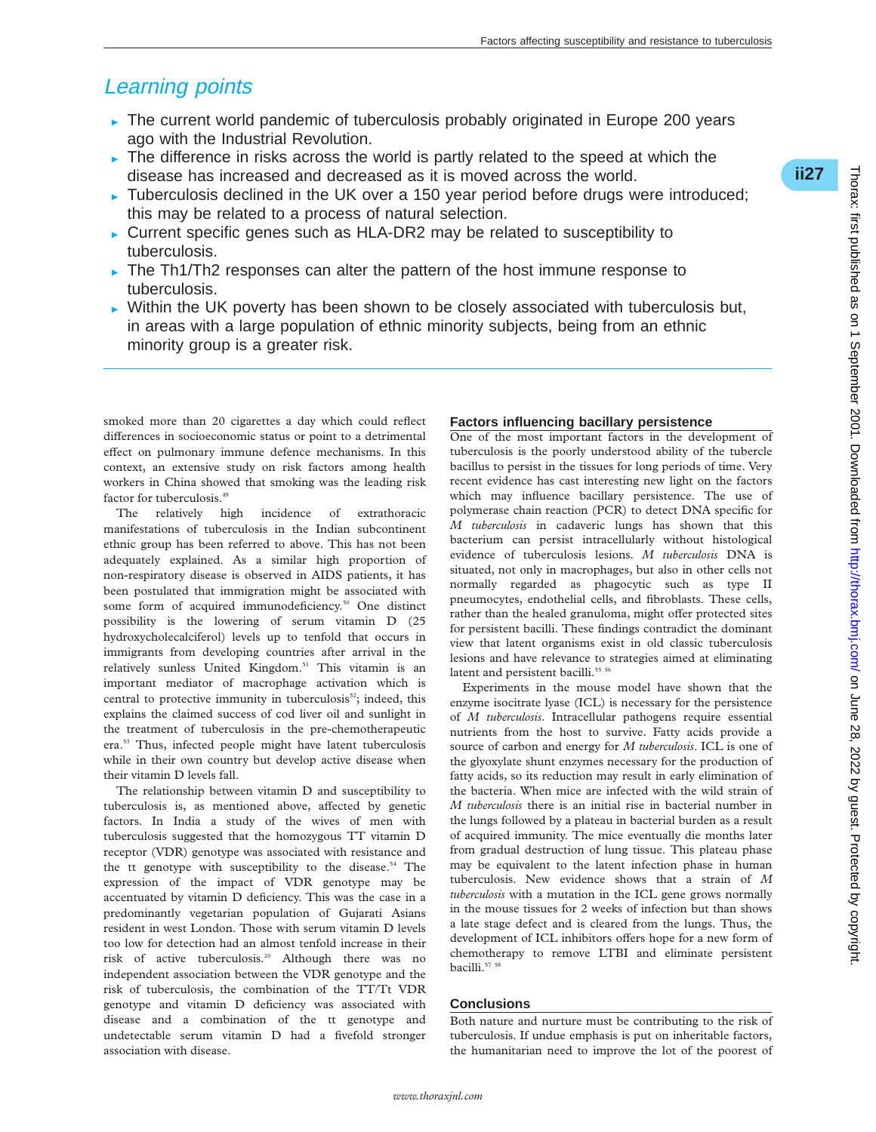\***ii27**

# Learning points

- $\triangleright$  The current world pandemic of tuberculosis probably originated in Europe 200 years ago with the Industrial Revolution.
- $\triangleright$  The difference in risks across the world is partly related to the speed at which the disease has increased and decreased as it is moved across the world.
- $\triangleright$  Tuberculosis declined in the UK over a 150 year period before drugs were introduced; this may be related to a process of natural selection.
- $\triangleright$  Current specific genes such as HLA-DR2 may be related to susceptibility to tuberculosis.
- $\triangleright$  The Th1/Th2 responses can alter the pattern of the host immune response to tuberculosis.
- $\triangleright$  Within the UK poverty has been shown to be closely associated with tuberculosis but, in areas with a large population of ethnic minority subjects, being from an ethnic minority group is a greater risk.

smoked more than 20 cigarettes a day which could reflect differences in socioeconomic status or point to a detrimental effect on pulmonary immune defence mechanisms. In this context, an extensive study on risk factors among health workers in China showed that smoking was the leading risk factor for tuberculosis.<sup>49</sup>

The relatively high incidence of extrathoracic manifestations of tuberculosis in the Indian subcontinent ethnic group has been referred to above. This has not been adequately explained. As a similar high proportion of non-respiratory disease is observed in AIDS patients, it has been postulated that immigration might be associated with some form of acquired immunodeficiency.<sup>50</sup> One distinct possibility is the lowering of serum vitamin D (25 hydroxycholecalciferol) levels up to tenfold that occurs in immigrants from developing countries after arrival in the relatively sunless United Kingdom.<sup>51</sup> This vitamin is an important mediator of macrophage activation which is central to protective immunity in tuberculosis<sup>52</sup>; indeed, this explains the claimed success of cod liver oil and sunlight in the treatment of tuberculosis in the pre-chemotherapeutic era.53 Thus, infected people might have latent tuberculosis while in their own country but develop active disease when their vitamin D levels fall.

The relationship between vitamin D and susceptibility to tuberculosis is, as mentioned above, affected by genetic factors. In India a study of the wives of men with tuberculosis suggested that the homozygous TT vitamin D receptor (VDR) genotype was associated with resistance and the tt genotype with susceptibility to the disease.<sup>54</sup> The expression of the impact of VDR genotype may be accentuated by vitamin D deficiency. This was the case in a predominantly vegetarian population of Gujarati Asians resident in west London. Those with serum vitamin D levels too low for detection had an almost tenfold increase in their risk of active tuberculosis.20 Although there was no independent association between the VDR genotype and the risk of tuberculosis, the combination of the TT/Tt VDR genotype and vitamin D deficiency was associated with disease and a combination of the tt genotype and undetectable serum vitamin D had a fivefold stronger association with disease.

#### **Factors influencing bacillary persistence**

One of the most important factors in the development of tuberculosis is the poorly understood ability of the tubercle bacillus to persist in the tissues for long periods of time. Very recent evidence has cast interesting new light on the factors which may influence bacillary persistence. The use of polymerase chain reaction (PCR) to detect DNA specific for *M tuberculosis* in cadaveric lungs has shown that this bacterium can persist intracellularly without histological evidence of tuberculosis lesions. *M tuberculosis* DNA is situated, not only in macrophages, but also in other cells not normally regarded as phagocytic such as type II pneumocytes, endothelial cells, and fibroblasts. These cells, rather than the healed granuloma, might offer protected sites for persistent bacilli. These findings contradict the dominant view that latent organisms exist in old classic tuberculosis lesions and have relevance to strategies aimed at eliminating latent and persistent bacilli.<sup>55</sup> 56</sup>

Experiments in the mouse model have shown that the enzyme isocitrate lyase (ICL) is necessary for the persistence of *M tuberculosis*. Intracellular pathogens require essential nutrients from the host to survive. Fatty acids provide a source of carbon and energy for *M tuberculosis*. ICL is one of the glyoxylate shunt enzymes necessary for the production of fatty acids, so its reduction may result in early elimination of the bacteria. When mice are infected with the wild strain of *M tuberculosis* there is an initial rise in bacterial number in the lungs followed by a plateau in bacterial burden as a result of acquired immunity. The mice eventually die months later from gradual destruction of lung tissue. This plateau phase may be equivalent to the latent infection phase in human tuberculosis. New evidence shows that a strain of *M tuberculosis* with a mutation in the ICL gene grows normally in the mouse tissues for 2 weeks of infection but than shows a late stage defect and is cleared from the lungs. Thus, the development of ICL inhibitors offers hope for a new form of chemotherapy to remove LTBI and eliminate persistent bacilli.<sup>57</sup> 58

#### **Conclusions**

Both nature and nurture must be contributing to the risk of tuberculosis. If undue emphasis is put on inheritable factors, the humanitarian need to improve the lot of the poorest of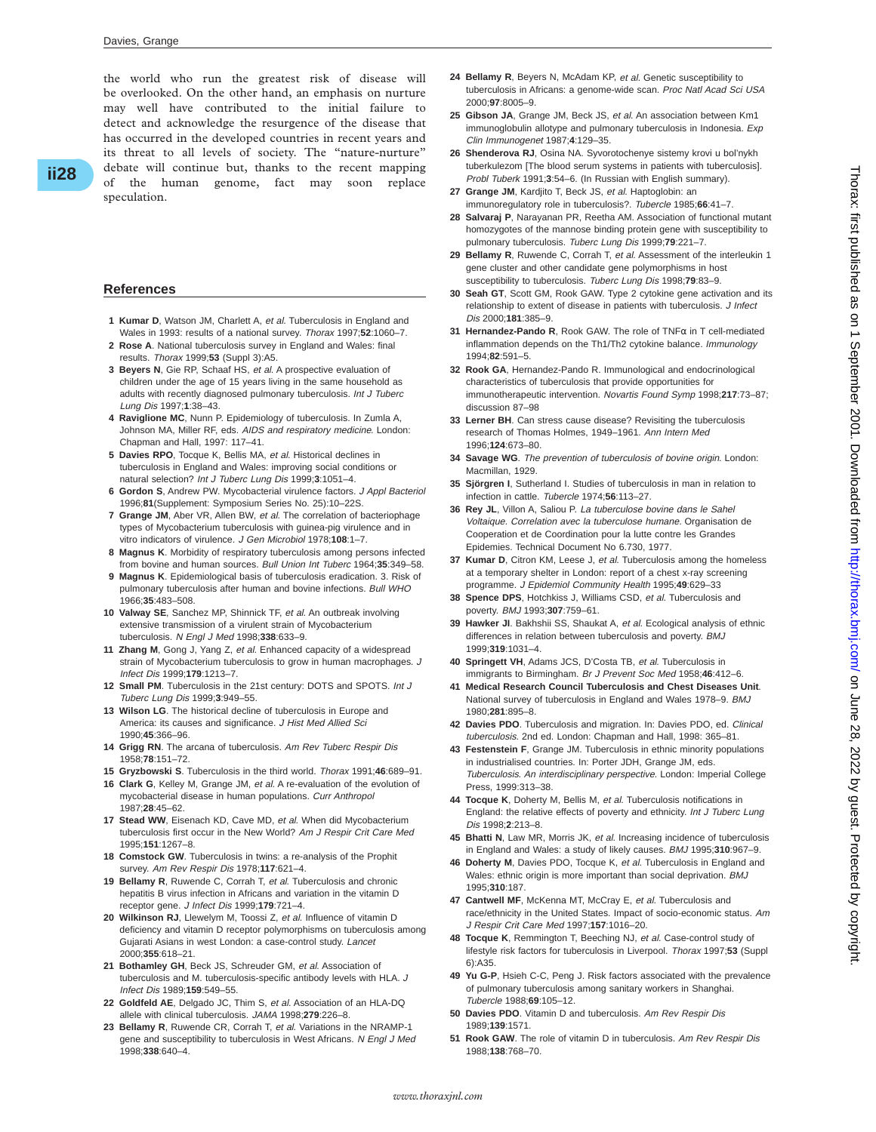the world who run the greatest risk of disease will be overlooked. On the other hand, an emphasis on nurture may well have contributed to the initial failure to detect and acknowledge the resurgence of the disease that has occurred in the developed countries in recent years and its threat to all levels of society. The "nature-nurture" debate will continue but, thanks to the recent mapping of the human genome, fact may soon replace speculation.

#### **References**

- **1 Kumar D**, Watson JM, Charlett A, et al. Tuberculosis in England and Wales in 1993: results of a national survey. Thorax 1997;**52**:1060–7.
- **2 Rose A**. National tuberculosis survey in England and Wales: final results. Thorax 1999;**53** (Suppl 3):A5.
- **3 Beyers N**, Gie RP, Schaaf HS, et al. A prospective evaluation of children under the age of 15 years living in the same household as adults with recently diagnosed pulmonary tuberculosis. Int J Tuberc Lung Dis 1997;**1**:38–43.
- **4 Raviglione MC**, Nunn P. Epidemiology of tuberculosis. In Zumla A, Johnson MA, Miller RF, eds. AIDS and respiratory medicine. London: Chapman and Hall, 1997: 117–41.
- **5 Davies RPO**, Tocque K, Bellis MA, et al. Historical declines in tuberculosis in England and Wales: improving social conditions or natural selection? Int J Tuberc Lung Dis 1999;**3**:1051–4.
- **6 Gordon S**, Andrew PW. Mycobacterial virulence factors. J Appl Bacteriol 1996;**81**(Supplement: Symposium Series No. 25):10–22S.
- **7 Grange JM**, Aber VR, Allen BW, et al. The correlation of bacteriophage types of Mycobacterium tuberculosis with guinea-pig virulence and in vitro indicators of virulence. J Gen Microbiol 1978;**108**:1–7.
- **8 Magnus K**. Morbidity of respiratory tuberculosis among persons infected from bovine and human sources. Bull Union Int Tuberc 1964;**35**:349–58.
- **9 Magnus K**. Epidemiological basis of tuberculosis eradication. 3. Risk of pulmonary tuberculosis after human and bovine infections. Bull WHO 1966;**35**:483–508.
- **10 Valway SE**, Sanchez MP, Shinnick TF, et al. An outbreak involving extensive transmission of a virulent strain of Mycobacterium tuberculosis. <sup>N</sup> Engl J Med 1998;**338**:633–9.
- **11 Zhang M**, Gong J, Yang Z, et al. Enhanced capacity of a widespread strain of Mycobacterium tuberculosis to grow in human macrophages. J Infect Dis 1999;**179**:1213–7.
- **12 Small PM**. Tuberculosis in the 21st century: DOTS and SPOTS. Int J Tuberc Lung Dis 1999;**3**:949–55.
- **13 Wilson LG**. The historical decline of tuberculosis in Europe and America: its causes and significance. J Hist Med Allied Sci 1990;**45**:366–96.
- **14 Grigg RN**. The arcana of tuberculosis. Am Rev Tuberc Respir Dis 1958;**78**:151–72.
- **15 Gryzbowski S**. Tuberculosis in the third world. Thorax 1991;**46**:689–91.
- **16 Clark G**, Kelley M, Grange JM, et al. A re-evaluation of the evolution of mycobacterial disease in human populations. Curr Anthropol 1987;**28**:45–62.
- **17 Stead WW**, Eisenach KD, Cave MD, et al. When did Mycobacterium tuberculosis first occur in the New World? Am J Respir Crit Care Med 1995;**151**:1267–8.
- **18 Comstock GW**. Tuberculosis in twins: a re-analysis of the Prophit survey. Am Rev Respir Dis 1978;**117**:621–4.
- **19 Bellamy R**, Ruwende C, Corrah T, et al. Tuberculosis and chronic hepatitis B virus infection in Africans and variation in the vitamin D receptor gene. J Infect Dis 1999;**179**:721–4.
- **20 Wilkinson RJ**, Llewelym M, Toossi Z, et al. Influence of vitamin D deficiency and vitamin D receptor polymorphisms on tuberculosis among Gujarati Asians in west London: a case-control study. Lancet 2000;**355**:618–21.
- **21 Bothamley GH**, Beck JS, Schreuder GM, et al. Association of tuberculosis and M. tuberculosis-specific antibody levels with HLA. J Infect Dis 1989;**159**:549–55.
- **22 Goldfeld AE**, Delgado JC, Thim S, et al. Association of an HLA-DQ allele with clinical tuberculosis. JAMA 1998;**279**:226–8.
- **23 Bellamy R**, Ruwende CR, Corrah T, et al. Variations in the NRAMP-1 gene and susceptibility to tuberculosis in West Africans. N Engl J Med 1998;**338**:640–4.
- **24 Bellamy R**, Beyers N, McAdam KP, et al. Genetic susceptibility to tuberculosis in Africans: a genome-wide scan. Proc Natl Acad Sci USA 2000;**97**:8005–9.
- **25 Gibson JA**, Grange JM, Beck JS, et al. An association between Km1 immunoglobulin allotype and pulmonary tuberculosis in Indonesia. Exp Clin Immunogenet 1987;**4**:129–35.
- **26 Shenderova RJ**, Osina NA. Syvorotochenye sistemy krovi u bol'nykh tuberkulezom [The blood serum systems in patients with tuberculosis]. Probl Tuberk 1991;**3**:54–6. (In Russian with English summary).
- **27 Grange JM**, Kardjito T, Beck JS, et al. Haptoglobin: an immunoregulatory role in tuberculosis?. Tubercle 1985;**66**:41–7.
- **28 Salvaraj P**, Narayanan PR, Reetha AM. Association of functional mutant homozygotes of the mannose binding protein gene with susceptibility to pulmonary tuberculosis. Tuberc Lung Dis 1999;**79**:221–7.
- **29 Bellamy R**, Ruwende C, Corrah T, et al. Assessment of the interleukin 1 gene cluster and other candidate gene polymorphisms in host susceptibility to tuberculosis. Tuberc Lung Dis 1998;**79**:83–9.
- **30 Seah GT**, Scott GM, Rook GAW. Type 2 cytokine gene activation and its relationship to extent of disease in patients with tuberculosis. J Infect Dis 2000;**181**:385–9.
- **31 Hernandez-Pando R**, Rook GAW. The role of TNFα in T cell-mediated inflammation depends on the Th1/Th2 cytokine balance. Immunology 1994;**82**:591–5.
- **32 Rook GA**, Hernandez-Pando R. Immunological and endocrinological characteristics of tuberculosis that provide opportunities for immunotherapeutic intervention. Novartis Found Symp 1998;**217**:73–87; discussion 87–98
- **33 Lerner BH**. Can stress cause disease? Revisiting the tuberculosis research of Thomas Holmes, 1949–1961. Ann Intern Med 1996;**124**:673–80.
- **34 Savage WG**. The prevention of tuberculosis of bovine origin. London: Macmillan, 1929.
- **35 Sjörgren I**, Sutherland I. Studies of tuberculosis in man in relation to infection in cattle. Tubercle 1974;**56**:113–27.
- **36 Rey JL**, Villon A, Saliou P. La tuberculose bovine dans le Sahel Voltaique. Correlation avec la tuberculose humane. Organisation de Cooperation et de Coordination pour la lutte contre les Grandes Epidemies. Technical Document No 6.730, 1977.
- **37 Kumar D**, Citron KM, Leese J, et al. Tuberculosis among the homeless at a temporary shelter in London: report of a chest x-ray screening programme. J Epidemiol Community Health 1995;**49**:629–33
- **38 Spence DPS**, Hotchkiss J, Williams CSD, et al. Tuberculosis and poverty. BMJ 1993;**307**:759–61.
- **39 Hawker JI**. Bakhshii SS, Shaukat A, et al. Ecological analysis of ethnic differences in relation between tuberculosis and poverty. BMJ 1999;**319**:1031–4.
- **40 Springett VH**, Adams JCS, D'Costa TB, et al. Tuberculosis in immigrants to Birmingham. Br J Prevent Soc Med 1958;**46**:412–6.
- **41 Medical Research Council Tuberculosis and Chest Diseases Unit**. National survey of tuberculosis in England and Wales 1978–9. BMJ 1980;**281**:895–8.
- **42 Davies PDO**. Tuberculosis and migration. In: Davies PDO, ed. Clinical tuberculosis. 2nd ed. London: Chapman and Hall, 1998: 365–81.
- **43 Festenstein F**, Grange JM. Tuberculosis in ethnic minority populations in industrialised countries. In: Porter JDH, Grange JM, eds. Tuberculosis. An interdisciplinary perspective. London: Imperial College Press, 1999:313–38.
- **44 Tocque K**, Doherty M, Bellis M, et al. Tuberculosis notifications in England: the relative effects of poverty and ethnicity. Int J Tuberc Lung Dis 1998;**2**:213–8.
- **45 Bhatti N**, Law MR, Morris JK, et al. Increasing incidence of tuberculosis in England and Wales: a study of likely causes. BMJ 1995;**310**:967–9.
- **46 Doherty M**, Davies PDO, Tocque K, et al. Tuberculosis in England and Wales: ethnic origin is more important than social deprivation. BMJ 1995;**310**:187.
- **47 Cantwell MF**, McKenna MT, McCray E, et al. Tuberculosis and race/ethnicity in the United States. Impact of socio-economic status. Am J Respir Crit Care Med 1997;**157**:1016–20.
- **48 Tocque K**, Remmington T, Beeching NJ, et al. Case-control study of lifestyle risk factors for tuberculosis in Liverpool. Thorax 1997;**53** (Suppl 6):A35.
- **49 Yu G-P**, Hsieh C-C, Peng J. Risk factors associated with the prevalence of pulmonary tuberculosis among sanitary workers in Shanghai. Tubercle 1988;**69**:105–12.
- **50 Davies PDO**. Vitamin D and tuberculosis. Am Rev Respir Dis 1989;**139**:1571.
- **51 Rook GAW**. The role of vitamin D in tuberculosis. Am Rev Respir Dis 1988;**138**:768–70.